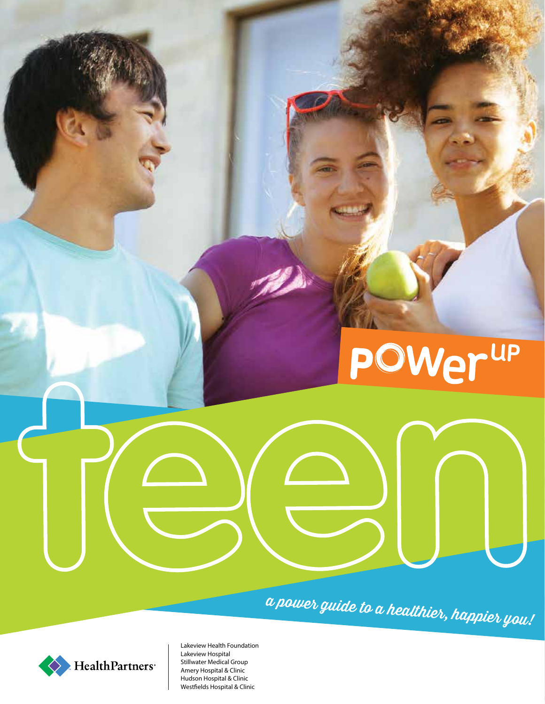# **POWer<sup>up</sup>**

a power guide to a healthier, happier you!



Lakeview Health Foundation Lakeview Hospital Stillwater Medical Group Amery Hospital & Clinic Hudson Hospital & Clinic Westfields Hospital & Clinic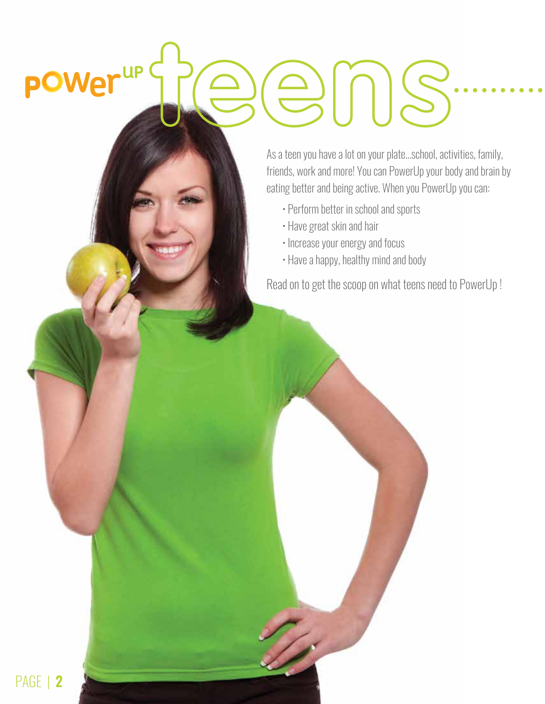# power<sup>up (</sup> SNS

As a teen you have a lot on your plate…school, activities, family, friends, work and more! You can PowerUp your body and brain by eating better and being active. When you PowerUp you can:

- Perform better in school and sports
- Have great skin and hair
- Increase your energy and focus
- Have a happy, healthy mind and body

Read on to get the scoop on what teens need to PowerUp !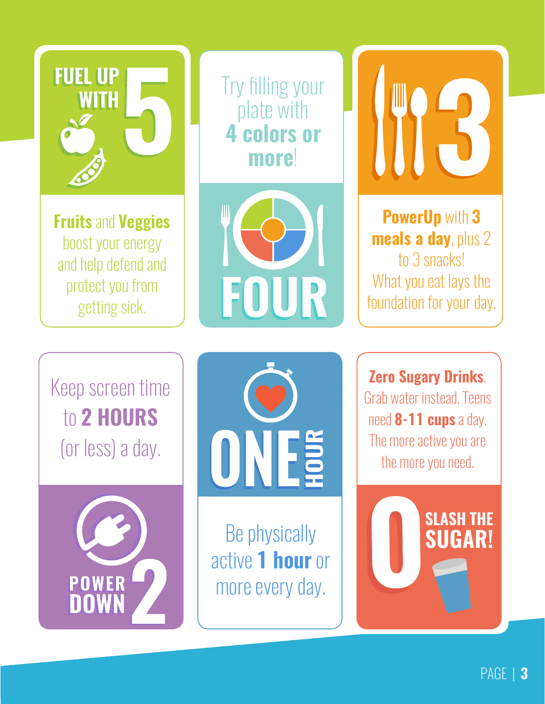

**Fruits** and **Veggies** boost your energy and help defend and protect you from getting sick.

Try filling your plate with **4 colors or more**!



**PowerUp** with **3 meals a day**, plus 2 to 3 snacks! What you eat lays the foundation for your day.

Keep screen time to **2 HOURS** (or less) a day.





Be physically active **1 hour** or more every day.

**Zero Sugary Drinks**. Grab water instead. Teens need **8-11 cups** a day. The more active you are the more you need.

**SLASH THE** 

**SUGAR!**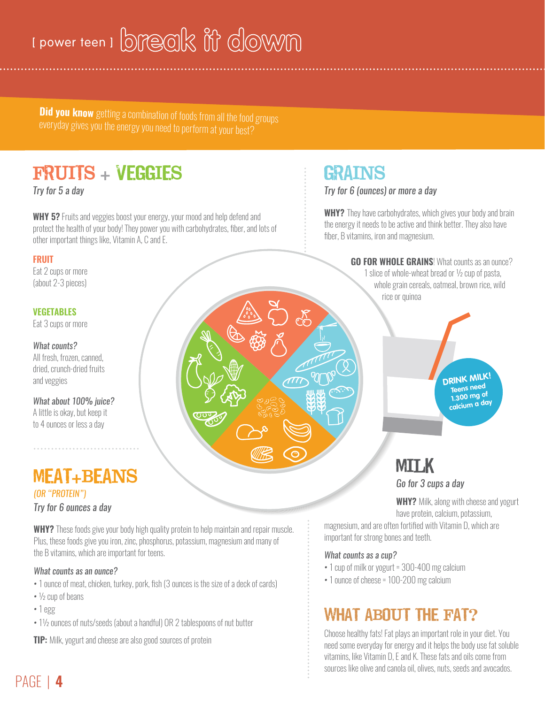# I power teen I break iff dowm

**Did you know** getting a combination of foods from all the food groups everyday gives you the energy you need to perform at your best?

# FRUITS + VEGGIES

*Try for 5 a day* 

**WHY 5?** Fruits and veggies boost your energy, your mood and help defend and protect the health of your body! They power you with carbohydrates, fiber, and lots of other important things like, Vitamin A, C and E.

**FRUIT**

Eat 2 cups or more (about 2-3 pieces)

#### **VEGETABLES**

Eat 3 cups or more

*What counts?*  All fresh, frozen, canned, dried, crunch-dried fruits and veggies

*What about 100% juice?*  A little is okay, but keep it to 4 ounces or less a day

# MEAT+BEANS

*(OR "PROTEIN") Try for 6 ounces a day*

**WHY?** These foods give your body high quality protein to help maintain and repair muscle. Plus, these foods give you iron, zinc, phosphorus, potassium, magnesium and many of the B vitamins, which are important for teens.

#### *What counts as an ounce?*

- 1 ounce of meat, chicken, turkey, pork, fish (3 ounces is the size of a deck of cards)
- ½ cup of beans
- 1 egg
- 1½ ounces of nuts/seeds (about a handful) OR 2 tablespoons of nut butter

**TIP:** Milk, yogurt and cheese are also good sources of protein

# GRAINS

*Try for 6 (ounces) or more a day*

**WHY?** They have carbohydrates, which gives your body and brain the energy it needs to be active and think better. They also have fiber, B vitamins, iron and magnesium.

**GO FOR WHOLE GRAINS!** What counts as an ounce?

1 slice of whole-wheat bread or ½ cup of pasta, whole grain cereals, oatmeal, brown rice, wild rice or quinoa



# **MILK**

*Go for 3 cups a day*

**WHY?** Milk, along with cheese and yogurt have protein, calcium, potassium,

magnesium, and are often fortified with Vitamin D, which are important for strong bones and teeth.

#### *What counts as a cup?*

- 1 cup of milk or yogurt = 300-400 mg calcium
- 1 ounce of cheese = 100-200 mg calcium

# WHAT ABOUT THE FAT?

Choose healthy fats! Fat plays an important role in your diet. You need some everyday for energy and it helps the body use fat soluble vitamins, like Vitamin D, E and K. These fats and oils come from sources like olive and canola oil, olives, nuts, seeds and avocados.

# PAGE | **4**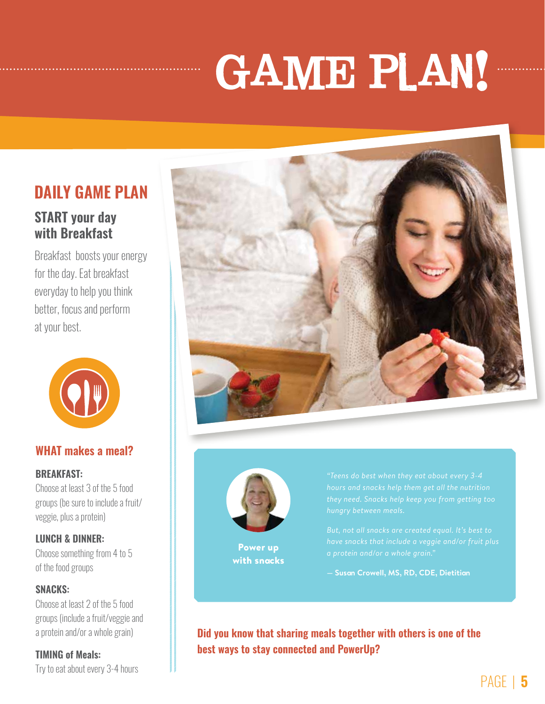# GAME PLAN!

## **DAILY GAME PLAN**

## **START your day with Breakfast**

Breakfast boosts your energy for the day. Eat breakfast everyday to help you think better, focus and perform at your best.



## **WHAT makes a meal?**

#### **BREAKFAST:**

Choose at least 3 of the 5 food groups (be sure to include a fruit/ veggie, plus a protein)

## **LUNCH & DINNER:**

Choose something from 4 to 5 of the food groups

## **SNACKS:**

Choose at least 2 of the 5 food groups (include a fruit/veggie and a protein and/or a whole grain)

## **TIMING of Meals:**

Try to eat about every 3-4 hours





Power up with snacks *"Teens do best when they eat about every 3-4* 

**— Susan Crowell, MS, RD, CDE, Dietitian** 

**Did you know that sharing meals together with others is one of the best ways to stay connected and PowerUp?**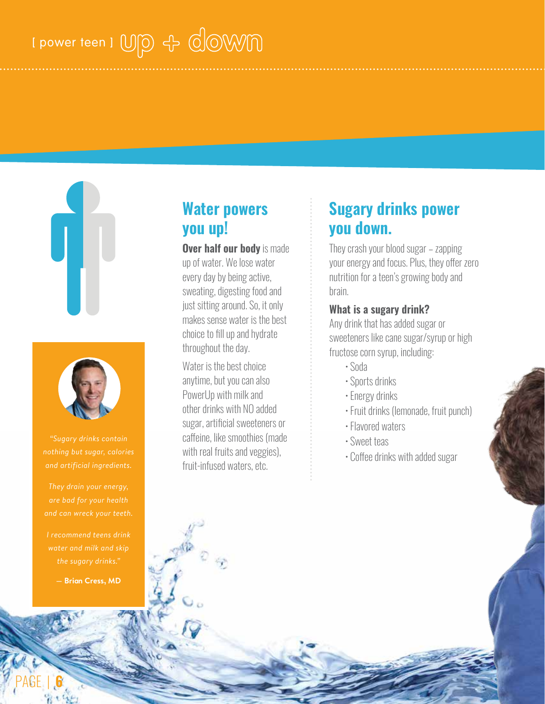# I power teen I USO + COWM





*"Sugary drinks contain nothing but sugar, calories* 

*are bad for your health and can wreck your teeth.* 

*I recommend teens drink water and milk and skip the sugary drinks."*

**— Brian Cress, MD**

PAGE | **6**

## **Water powers you up!**

**Over half our body** is made up of water. We lose water every day by being active, sweating, digesting food and just sitting around. So, it only makes sense water is the best choice to fill up and hydrate throughout the day.

Water is the best choice anytime, but you can also PowerUp with milk and other drinks with NO added sugar, artificial sweeteners or caffeine, like smoothies (made with real fruits and veggies), fruit-infused waters, etc.

## **Sugary drinks power you down.**

They crash your blood sugar – zapping your energy and focus. Plus, they offer zero nutrition for a teen's growing body and brain.

## **What is a sugary drink?**

Any drink that has added sugar or sweeteners like cane sugar/syrup or high fructose corn syrup, including:

- Soda
- Sports drinks
- Energy drinks
- Fruit drinks (lemonade, fruit punch)
- Flavored waters
- Sweet teas
- Coffee drinks with added sugar

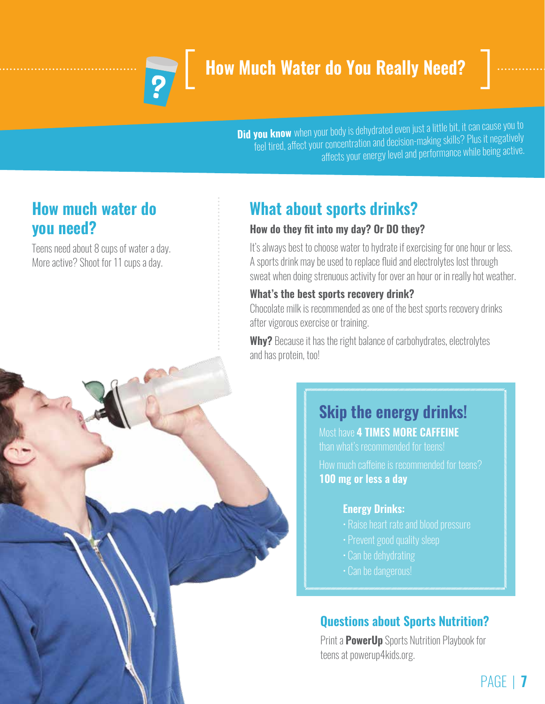

# **How Much Water do You Really Need?**



**Did you know** when your body is dehydrated even just a little bit, it can cause you to feel tired, affect your concentration and decision-making skills? Plus it negatively affects your energy level and performance while being active.

## **How much water do you need?**

Teens need about 8 cups of water a day. More active? Shoot for 11 cups a day.

# **What about sports drinks?**

## **How do they fit into my day? Or DO they?**

It's always best to choose water to hydrate if exercising for one hour or less. A sports drink may be used to replace fluid and electrolytes lost through sweat when doing strenuous activity for over an hour or in really hot weather.

## **What's the best sports recovery drink?**

Chocolate milk is recommended as one of the best sports recovery drinks after vigorous exercise or training.

**Why?** Because it has the right balance of carbohydrates, electrolytes and has protein, too!

# **Skip the energy drinks!**

Most have **4 TIMES MORE CAFFEINE** than what's recommended for teens!

How much caffeine is recommended for teens? **100 mg or less a day**

## **Energy Drinks:**

- Raise heart rate and blood pressure
- 
- Can be dehydrating
- Can be dangerous!

## **Questions about Sports Nutrition?**

Print a **PowerUp** Sports Nutrition Playbook for teens at powerup4kids.org.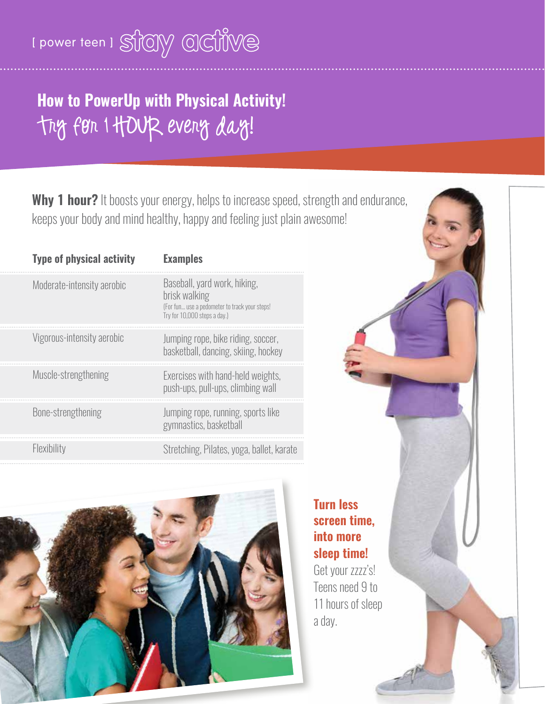# I power teen I STOLY OCTIVE

# **How to PowerUp with Physical Activity!** Try for 1 HOUR every day!

**Why 1 hour?** It boosts your energy, helps to increase speed, strength and endurance, keeps your body and mind healthy, happy and feeling just plain awesome!

| <b>Type of physical activity</b> | <b>Examples</b>                                                                                                                |
|----------------------------------|--------------------------------------------------------------------------------------------------------------------------------|
| Moderate-intensity aerobic       | Baseball, yard work, hiking,<br>brisk walking<br>(For fun use a pedometer to track your steps!<br>Try for 10,000 steps a day.) |
| Vigorous-intensity aerobic       | Jumping rope, bike riding, soccer,<br>basketball, dancing, skiing, hockey                                                      |
| Muscle-strengthening             | Exercises with hand-held weights,<br>push-ups, pull-ups, climbing wall                                                         |
| Bone-strengthening               | Jumping rope, running, sports like<br>gymnastics, basketball                                                                   |
| Flexibility                      | Stretching, Pilates, yoga, ballet, karate                                                                                      |



**Turn less screen time, into more sleep time!**

Get your zzzz's! Teens need 9 to 11 hours of sleep a day.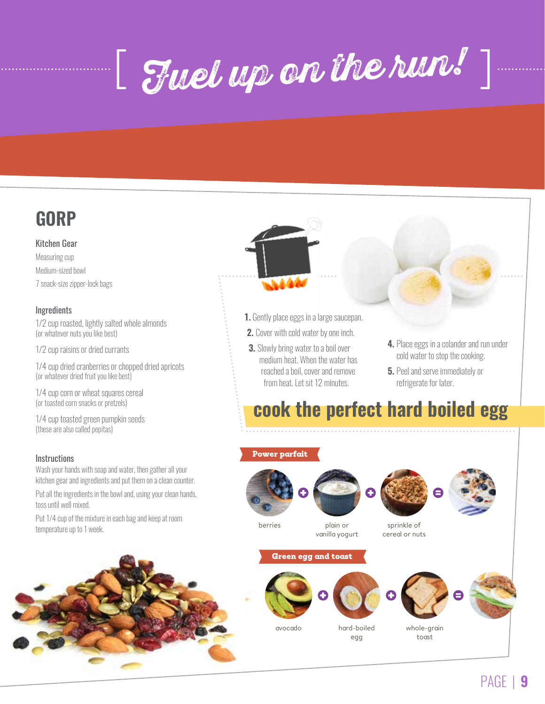[ Fuel up on the run! ]



#### Kitchen Gear

Measuring cup Medium-sized bowl 7 snack-size zipper-lock bags

#### **Ingredients**

1/2 cup roasted, lightly salted whole almonds (or whatever nuts you like best)

1/2 cup raisins or dried currants

1/4 cup dried cranberries or chopped dried apricots (or whatever dried fruit you like best)

1/4 cup corn or wheat squares cereal (or toasted corn snacks or pretzels)

1/4 cup toasted green pumpkin seeds (these are also called pepitas)

#### **Instructions**

Wash your hands with soap and water, then gather all your kitchen gear and ingredients and put them on a clean counter.

Put all the ingredients in the bowl and, using your clean hands, toss until well mixed.

Put 1/4 cup of the mixture in each bag and keep at room temperature up to 1 week.





- **1.** Gently place eggs in a large saucepan.
- **2.** Cover with cold water by one inch.
- **3.** Slowly bring water to a boil over medium heat. When the water has reached a boil, cover and remove from heat. Let sit 12 minutes.
- **4.** Place eggs in a colander and run under cold water to stop the cooking.
- **5.** Peel and serve immediately or refrigerate for later.

**cook the perfect hard boiled egg**

## Power parfait







berries plain or

vanilla yogurt

sprinkle of cereal or nuts





avocado hard-boiled



egg



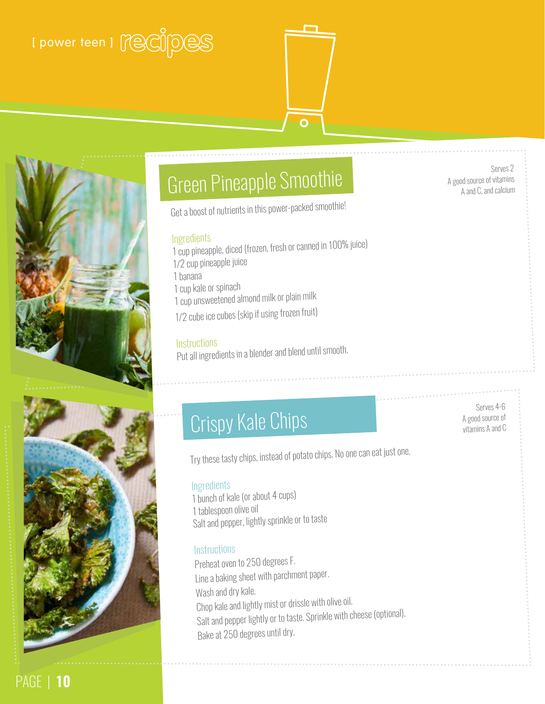# [ power teen ] [ ( ecopy pess







# Green Pineapple Smoothie

Get a boost of nutrients in this power-packed smoothie!

#### Ingredients

- 1 cup pineapple, diced (frozen, fresh or canned in 100% juice)
- 1/2 cup pineapple juice
- 1 banana
- 1 cup kale or spinac<sup>h</sup>
- 1 cup unsweetened almond milk or plain milk
- 1/2 cube ice cubes (skip if using frozen fruit)

#### **Instructions**

Put all ingredients in a blender and blend until smooth.

# **A good source of** A good source of

Serves 4-6

Serves 2

A good source of vitamins A and C, and calcium

Try these tasty chips, instead of potato chips. No one can eat just one.

#### **Ingredients**

1 bunch of kale (or about 4 cups) 1 tablespoon olive oil Salt and pepper, lightly sprinkle or to taste

## **Instructions**

Preheat oven to 250 degrees F. Line a baking sheet with parchment paper. Wash and dry kale. Chop kale and lightly mist or drissle with olive oil. Salt and pepper lightly or to taste. Sprinkle with cheese (optional). Bake at 250 degrees until dry.

PAGE | **10**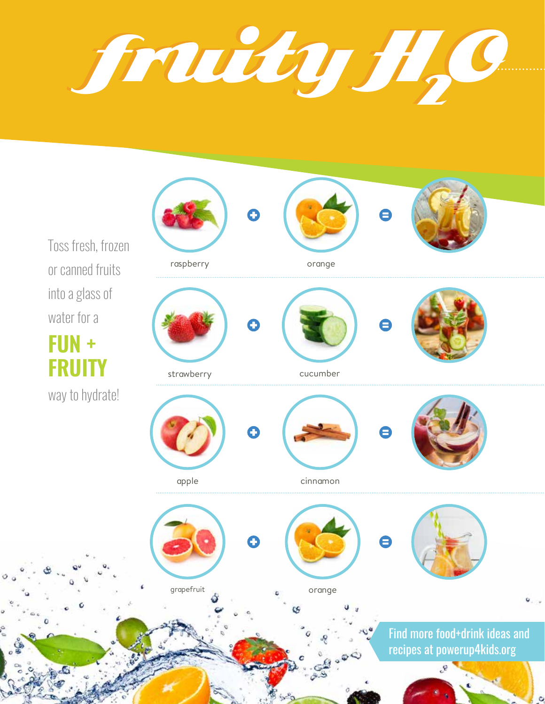fruity H fruity H22 O